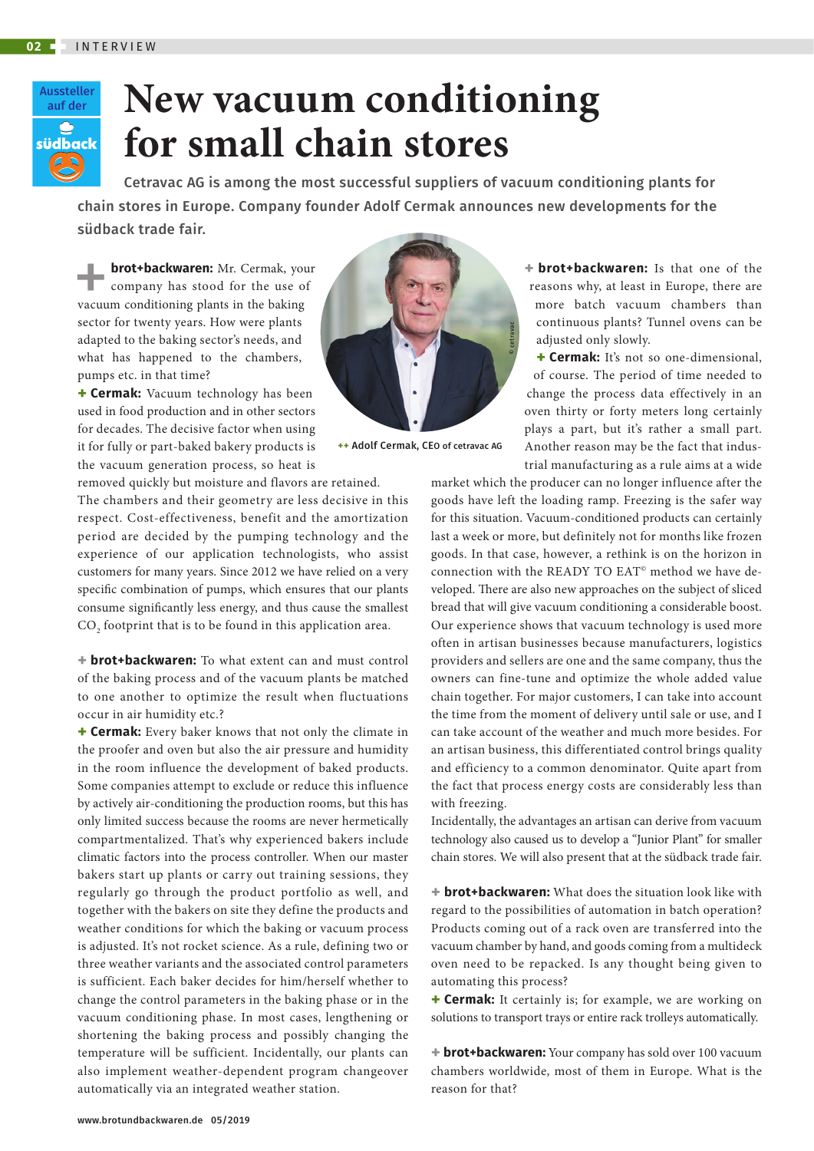

## **New vacuum conditioning for small chain stores**

Cetravac AG is among the most successful suppliers of vacuum conditioning plants for chain stores in Europe. Company founder Adolf Cermak announces new developments for the südback trade fair.

**brot+backwaren:** Mr. Cermak, your<br>
company has stood for the use of<br>
vacuum conditioning plants in the baking company has stood for the use of sector for twenty years. How were plants adapted to the baking sector's needs, and what has happened to the chambers, pumps etc. in that time?

**+ Cermak:** Vacuum technology has been used in food production and in other sectors for decades. The decisive factor when using it for fully or part-baked bakery products is the vacuum generation process, so heat is

removed quickly but moisture and flavors are retained. The chambers and their geometry are less decisive in this respect. Cost-effectiveness, benefit and the amortization period are decided by the pumping technology and the experience of our application technologists, who assist customers for many years. Since 2012 we have relied on a very specific combination of pumps, which ensures that our plants consume significantly less energy, and thus cause the smallest  $\mathrm{CO}_\mathrm{2}$  footprint that is to be found in this application area.

**+ brot+backwaren:** To what extent can and must control of the baking process and of the vacuum plants be matched to one another to optimize the result when fluctuations occur in air humidity etc.?

**+ Cermak:** Every baker knows that not only the climate in the proofer and oven but also the air pressure and humidity in the room influence the development of baked products. Some companies attempt to exclude or reduce this influence by actively air-conditioning the production rooms, but this has only limited success because the rooms are never hermetically compartmentalized. That's why experienced bakers include climatic factors into the process controller. When our master bakers start up plants or carry out training sessions, they regularly go through the product portfolio as well, and together with the bakers on site they define the products and weather conditions for which the baking or vacuum process is adjusted. It's not rocket science. As a rule, defining two or three weather variants and the associated control parameters is sufficient. Each baker decides for him/herself whether to change the control parameters in the baking phase or in the vacuum conditioning phase. In most cases, lengthening or shortening the baking process and possibly changing the temperature will be sufficient. Incidentally, our plants can also implement weather-dependent program changeover automatically via an integrated weather station.



**++** Adolf Cermak, CEO of cetravac AG

**+ brot+backwaren:** Is that one of the reasons why, at least in Europe, there are more batch vacuum chambers than continuous plants? Tunnel ovens can be adjusted only slowly.

**+ Cermak:** It's not so one-dimensional, of course. The period of time needed to change the process data effectively in an oven thirty or forty meters long certainly plays a part, but it's rather a small part. Another reason may be the fact that industrial manufacturing as a rule aims at a wide

market which the producer can no longer influence after the goods have left the loading ramp. Freezing is the safer way for this situation. Vacuum-conditioned products can certainly last a week or more, but definitely not for months like frozen goods. In that case, however, a rethink is on the horizon in connection with the READY TO EAT<sup>®</sup> method we have developed. There are also new approaches on the subject of sliced bread that will give vacuum conditioning a considerable boost. Our experience shows that vacuum technology is used more often in artisan businesses because manufacturers, logistics providers and sellers are one and the same company, thus the owners can fine-tune and optimize the whole added value chain together. For major customers, I can take into account the time from the moment of delivery until sale or use, and I can take account of the weather and much more besides. For an artisan business, this differentiated control brings quality and efficiency to a common denominator. Quite apart from the fact that process energy costs are considerably less than with freezing.

Incidentally, the advantages an artisan can derive from vacuum technology also caused us to develop a "Junior Plant" for smaller chain stores. We will also present that at the südback trade fair.

**+ brot+backwaren:** What does the situation look like with regard to the possibilities of automation in batch operation? Products coming out of a rack oven are transferred into the vacuum chamber by hand, and goods coming from a multideck oven need to be repacked. Is any thought being given to automating this process?

**+ Cermak:** It certainly is; for example, we are working on solutions to transport trays or entire rack trolleys automatically.

**+ brot+backwaren:** Your company has sold over 100 vacuum chambers worldwide, most of them in Europe. What is the reason for that?